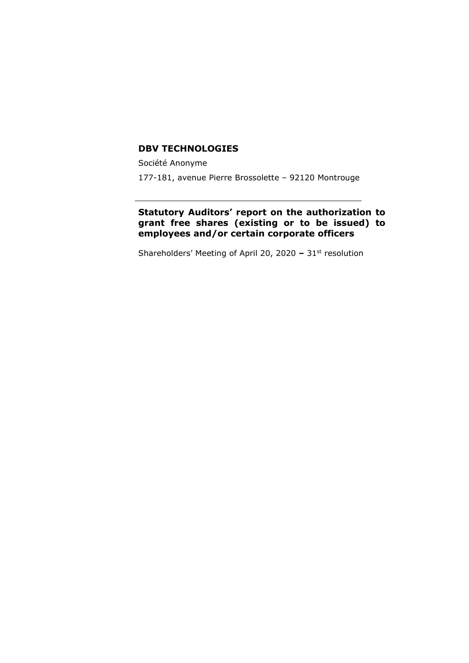#### **DBV TECHNOLOGIES**

Société Anonyme

177-181, avenue Pierre Brossolette – 92120 Montrouge

## **Statutory Auditors' report on the authorization to grant free shares (existing or to be issued) to employees and/or certain corporate officers**

Shareholders' Meeting of April 20, 2020 **–** 31st resolution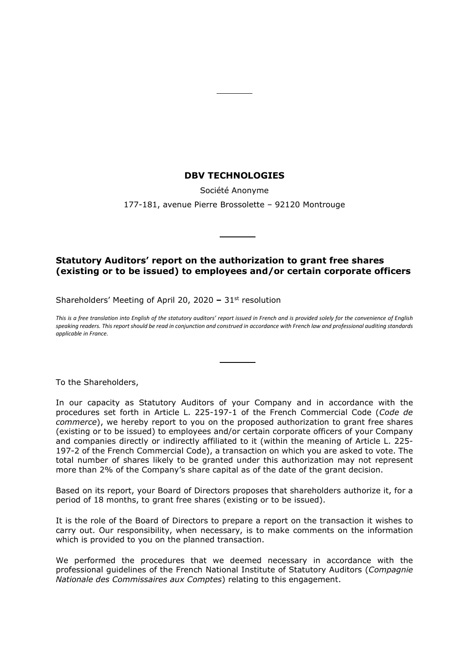### **DBV TECHNOLOGIES**

Société Anonyme

177-181, avenue Pierre Brossolette – 92120 Montrouge

## **Statutory Auditors' report on the authorization to grant free shares (existing or to be issued) to employees and/or certain corporate officers**

Shareholders' Meeting of April 20, 2020 **–** 31st resolution

*This is a free translation into English of the statutory auditors' report issued in French and is provided solely for the convenience of English speaking readers. This report should be read in conjunction and construed in accordance with French law and professional auditing standards applicable in France.*

To the Shareholders,

In our capacity as Statutory Auditors of your Company and in accordance with the procedures set forth in Article L. 225-197-1 of the French Commercial Code (*Code de commerce*), we hereby report to you on the proposed authorization to grant free shares (existing or to be issued) to employees and/or certain corporate officers of your Company and companies directly or indirectly affiliated to it (within the meaning of Article L. 225- 197-2 of the French Commercial Code), a transaction on which you are asked to vote. The total number of shares likely to be granted under this authorization may not represent more than 2% of the Company's share capital as of the date of the grant decision.

Based on its report, your Board of Directors proposes that shareholders authorize it, for a period of 18 months, to grant free shares (existing or to be issued).

It is the role of the Board of Directors to prepare a report on the transaction it wishes to carry out. Our responsibility, when necessary, is to make comments on the information which is provided to you on the planned transaction.

We performed the procedures that we deemed necessary in accordance with the professional guidelines of the French National Institute of Statutory Auditors (*Compagnie Nationale des Commissaires aux Comptes*) relating to this engagement.